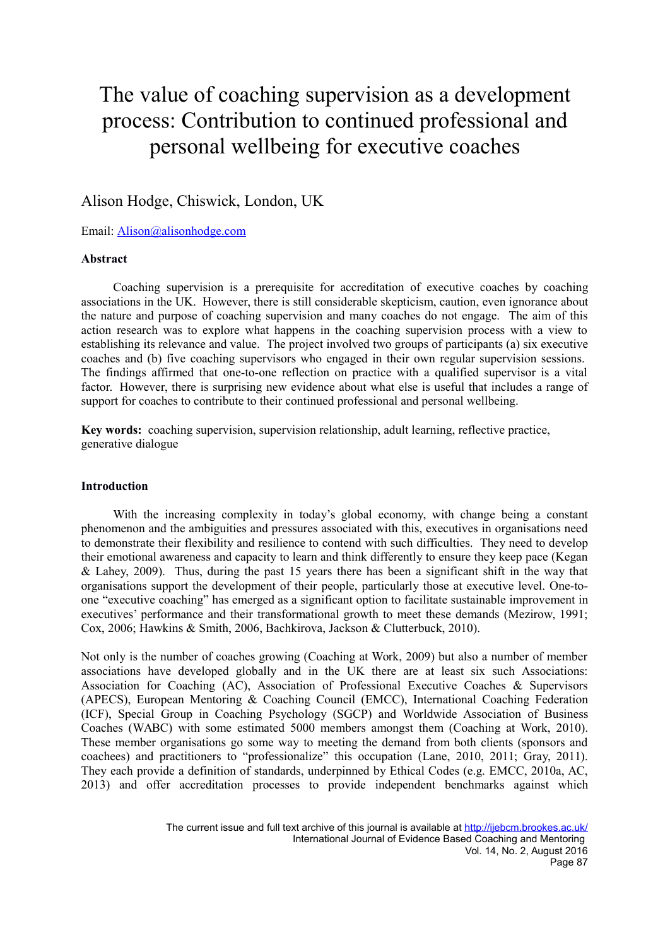# The value of coaching supervision as a development process: Contribution to continued professional and personal wellbeing for executive coaches

# Alison Hodge, Chiswick, London, UK

Email: [Alison@alisonhodge.com](mailto:Alison@alisonhodge.com)

#### **Abstract**

Coaching supervision is a prerequisite for accreditation of executive coaches by coaching associations in the UK. However, there is still considerable skepticism, caution, even ignorance about the nature and purpose of coaching supervision and many coaches do not engage. The aim of this action research was to explore what happens in the coaching supervision process with a view to establishing its relevance and value. The project involved two groups of participants (a) six executive coaches and (b) five coaching supervisors who engaged in their own regular supervision sessions. The findings affirmed that one-to-one reflection on practice with a qualified supervisor is a vital factor. However, there is surprising new evidence about what else is useful that includes a range of support for coaches to contribute to their continued professional and personal wellbeing.

**Key words:** coaching supervision, supervision relationship, adult learning, reflective practice, generative dialogue

#### **Introduction**

With the increasing complexity in today's global economy, with change being a constant phenomenon and the ambiguities and pressures associated with this, executives in organisations need to demonstrate their flexibility and resilience to contend with such difficulties. They need to develop their emotional awareness and capacity to learn and think differently to ensure they keep pace (Kegan & Lahey, 2009). Thus, during the past 15 years there has been a significant shift in the way that organisations support the development of their people, particularly those at executive level. One-toone "executive coaching" has emerged as a significant option to facilitate sustainable improvement in executives' performance and their transformational growth to meet these demands (Mezirow, 1991; Cox, 2006; Hawkins & Smith, 2006, Bachkirova, Jackson & Clutterbuck, 2010).

Not only is the number of coaches growing (Coaching at Work, 2009) but also a number of member associations have developed globally and in the UK there are at least six such Associations: Association for Coaching (AC), Association of Professional Executive Coaches & Supervisors (APECS), European Mentoring & Coaching Council (EMCC), International Coaching Federation (ICF), Special Group in Coaching Psychology (SGCP) and Worldwide Association of Business Coaches (WABC) with some estimated 5000 members amongst them (Coaching at Work, 2010). These member organisations go some way to meeting the demand from both clients (sponsors and coachees) and practitioners to "professionalize" this occupation (Lane, 2010, 2011; Gray, 2011). They each provide a definition of standards, underpinned by Ethical Codes (e.g. EMCC, 2010a, AC, 2013) and offer accreditation processes to provide independent benchmarks against which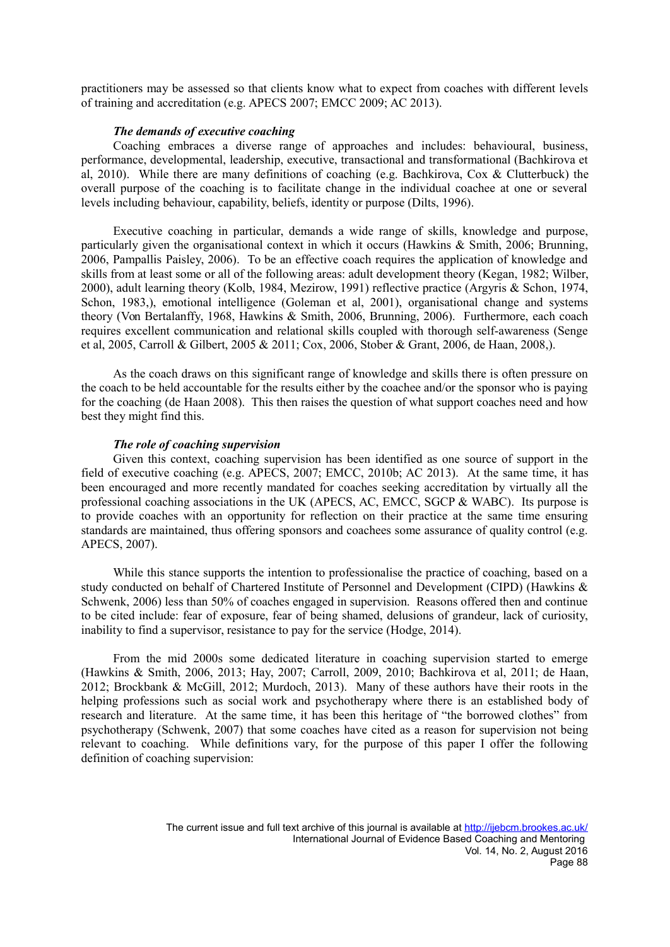practitioners may be assessed so that clients know what to expect from coaches with different levels of training and accreditation (e.g. APECS 2007; EMCC 2009; AC 2013).

#### *The demands of executive coaching*

Coaching embraces a diverse range of approaches and includes: behavioural, business, performance, developmental, leadership, executive, transactional and transformational (Bachkirova et al, 2010). While there are many definitions of coaching (e.g. Bachkirova, Cox & Clutterbuck) the overall purpose of the coaching is to facilitate change in the individual coachee at one or several levels including behaviour, capability, beliefs, identity or purpose (Dilts, 1996).

Executive coaching in particular, demands a wide range of skills, knowledge and purpose, particularly given the organisational context in which it occurs (Hawkins & Smith, 2006; Brunning, 2006, Pampallis Paisley, 2006). To be an effective coach requires the application of knowledge and skills from at least some or all of the following areas: adult development theory (Kegan, 1982; Wilber, 2000), adult learning theory (Kolb, 1984, Mezirow, 1991) reflective practice (Argyris & Schon, 1974, Schon, 1983,), emotional intelligence (Goleman et al, 2001), organisational change and systems theory (Von Bertalanffy, 1968, Hawkins & Smith, 2006, Brunning, 2006). Furthermore, each coach requires excellent communication and relational skills coupled with thorough self-awareness (Senge et al, 2005, Carroll & Gilbert, 2005 & 2011; Cox, 2006, Stober & Grant, 2006, de Haan, 2008,).

As the coach draws on this significant range of knowledge and skills there is often pressure on the coach to be held accountable for the results either by the coachee and/or the sponsor who is paying for the coaching (de Haan 2008). This then raises the question of what support coaches need and how best they might find this.

#### *The role of coaching supervision*

Given this context, coaching supervision has been identified as one source of support in the field of executive coaching (e.g. APECS, 2007; EMCC, 2010b; AC 2013). At the same time, it has been encouraged and more recently mandated for coaches seeking accreditation by virtually all the professional coaching associations in the UK (APECS, AC, EMCC, SGCP & WABC). Its purpose is to provide coaches with an opportunity for reflection on their practice at the same time ensuring standards are maintained, thus offering sponsors and coachees some assurance of quality control (e.g. APECS, 2007).

While this stance supports the intention to professionalise the practice of coaching, based on a study conducted on behalf of Chartered Institute of Personnel and Development (CIPD) (Hawkins & Schwenk, 2006) less than 50% of coaches engaged in supervision. Reasons offered then and continue to be cited include: fear of exposure, fear of being shamed, delusions of grandeur, lack of curiosity, inability to find a supervisor, resistance to pay for the service (Hodge, 2014).

From the mid 2000s some dedicated literature in coaching supervision started to emerge (Hawkins & Smith, 2006, 2013; Hay, 2007; Carroll, 2009, 2010; Bachkirova et al, 2011; de Haan, 2012; Brockbank & McGill, 2012; Murdoch, 2013). Many of these authors have their roots in the helping professions such as social work and psychotherapy where there is an established body of research and literature. At the same time, it has been this heritage of "the borrowed clothes" from psychotherapy (Schwenk, 2007) that some coaches have cited as a reason for supervision not being relevant to coaching. While definitions vary, for the purpose of this paper I offer the following definition of coaching supervision: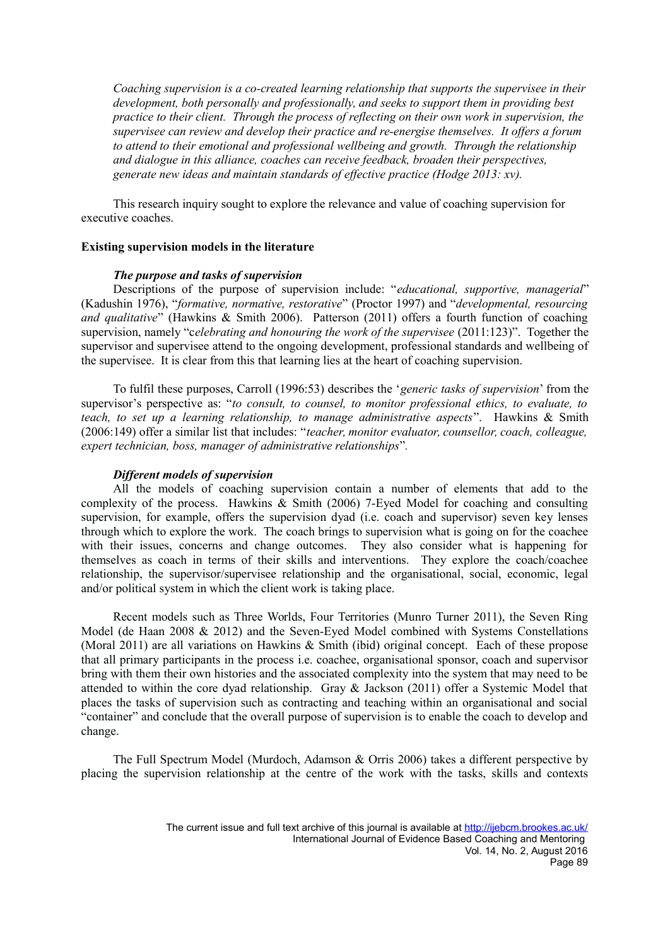*Coaching supervision is a co-created learning relationship that supports the supervisee in their development, both personally and professionally, and seeks to support them in providing best practice to their client. Through the process of reflecting on their own work in supervision, the supervisee can review and develop their practice and re-energise themselves. It offers a forum to attend to their emotional and professional wellbeing and growth. Through the relationship and dialogue in this alliance, coaches can receive feedback, broaden their perspectives, generate new ideas and maintain standards of effective practice (Hodge 2013: xv).*

This research inquiry sought to explore the relevance and value of coaching supervision for executive coaches.

#### **Existing supervision models in the literature**

### *The purpose and tasks of supervision*

Descriptions of the purpose of supervision include: "*educational, supportive, managerial*" (Kadushin 1976), "*formative, normative, restorative*" (Proctor 1997) and "*developmental, resourcing and qualitative*" (Hawkins & Smith 2006). Patterson (2011) offers a fourth function of coaching supervision, namely "c*elebrating and honouring the work of the supervisee* (2011:123)". Together the supervisor and supervisee attend to the ongoing development, professional standards and wellbeing of the supervisee. It is clear from this that learning lies at the heart of coaching supervision.

To fulfil these purposes, Carroll (1996:53) describes the '*generic tasks of supervision*' from the supervisor's perspective as: "*to consult, to counsel, to monitor professional ethics, to evaluate, to teach, to set up a learning relationship, to manage administrative aspects*". Hawkins & Smith (2006:149) offer a similar list that includes: "*teacher, monitor evaluator, counsellor, coach, colleague, expert technician, boss, manager of administrative relationships*"*.* 

#### *Different models of supervision*

All the models of coaching supervision contain a number of elements that add to the complexity of the process. Hawkins & Smith (2006) 7-Eyed Model for coaching and consulting supervision, for example, offers the supervision dyad (i.e. coach and supervisor) seven key lenses through which to explore the work. The coach brings to supervision what is going on for the coachee with their issues, concerns and change outcomes. They also consider what is happening for themselves as coach in terms of their skills and interventions. They explore the coach/coachee relationship, the supervisor/supervisee relationship and the organisational, social, economic, legal and/or political system in which the client work is taking place.

Recent models such as Three Worlds, Four Territories (Munro Turner 2011), the Seven Ring Model (de Haan 2008 & 2012) and the Seven-Eyed Model combined with Systems Constellations (Moral 2011) are all variations on Hawkins & Smith (ibid) original concept. Each of these propose that all primary participants in the process i.e. coachee, organisational sponsor, coach and supervisor bring with them their own histories and the associated complexity into the system that may need to be attended to within the core dyad relationship. Gray & Jackson (2011) offer a Systemic Model that places the tasks of supervision such as contracting and teaching within an organisational and social "container" and conclude that the overall purpose of supervision is to enable the coach to develop and change.

The Full Spectrum Model (Murdoch, Adamson & Orris 2006) takes a different perspective by placing the supervision relationship at the centre of the work with the tasks, skills and contexts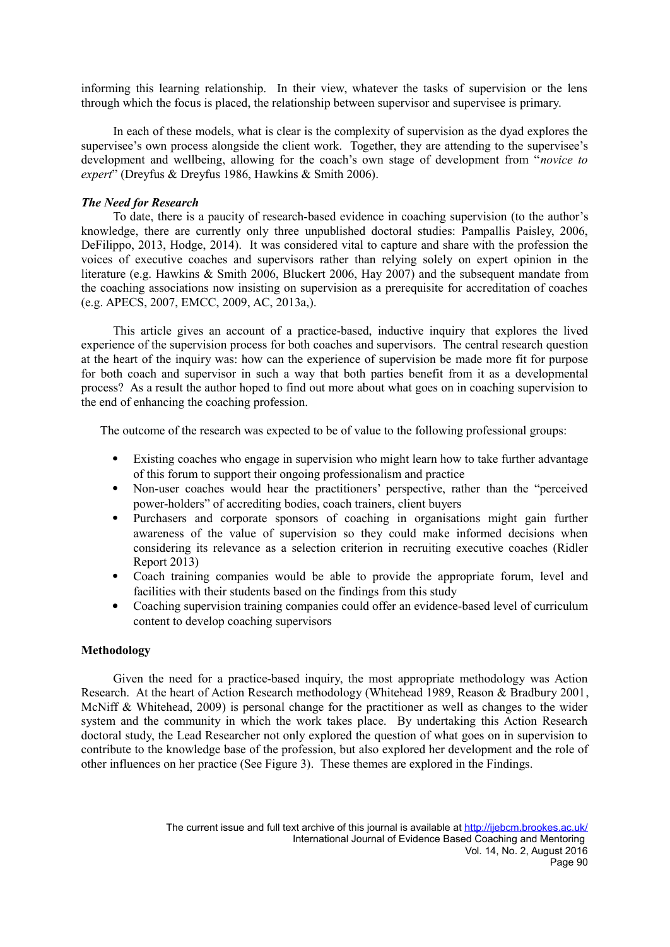informing this learning relationship. In their view, whatever the tasks of supervision or the lens through which the focus is placed, the relationship between supervisor and supervisee is primary.

In each of these models, what is clear is the complexity of supervision as the dyad explores the supervisee's own process alongside the client work. Together, they are attending to the supervisee's development and wellbeing, allowing for the coach's own stage of development from "*novice to expert*" (Dreyfus & Dreyfus 1986, Hawkins & Smith 2006).

#### *The Need for Research*

To date, there is a paucity of research-based evidence in coaching supervision (to the author's knowledge, there are currently only three unpublished doctoral studies: Pampallis Paisley, 2006, DeFilippo, 2013, Hodge, 2014). It was considered vital to capture and share with the profession the voices of executive coaches and supervisors rather than relying solely on expert opinion in the literature (e.g. Hawkins & Smith 2006, Bluckert 2006, Hay 2007) and the subsequent mandate from the coaching associations now insisting on supervision as a prerequisite for accreditation of coaches (e.g. APECS, 2007, EMCC, 2009, AC, 2013a,).

This article gives an account of a practice-based, inductive inquiry that explores the lived experience of the supervision process for both coaches and supervisors. The central research question at the heart of the inquiry was: how can the experience of supervision be made more fit for purpose for both coach and supervisor in such a way that both parties benefit from it as a developmental process? As a result the author hoped to find out more about what goes on in coaching supervision to the end of enhancing the coaching profession.

The outcome of the research was expected to be of value to the following professional groups:

- Existing coaches who engage in supervision who might learn how to take further advantage of this forum to support their ongoing professionalism and practice
- Non-user coaches would hear the practitioners' perspective, rather than the "perceived power-holders" of accrediting bodies, coach trainers, client buyers
- Purchasers and corporate sponsors of coaching in organisations might gain further awareness of the value of supervision so they could make informed decisions when considering its relevance as a selection criterion in recruiting executive coaches (Ridler Report 2013)
- Coach training companies would be able to provide the appropriate forum, level and facilities with their students based on the findings from this study
- Coaching supervision training companies could offer an evidence-based level of curriculum content to develop coaching supervisors

#### **Methodology**

Given the need for a practice-based inquiry, the most appropriate methodology was Action Research. At the heart of Action Research methodology (Whitehead 1989, Reason & Bradbury 2001, McNiff & Whitehead, 2009) is personal change for the practitioner as well as changes to the wider system and the community in which the work takes place. By undertaking this Action Research doctoral study, the Lead Researcher not only explored the question of what goes on in supervision to contribute to the knowledge base of the profession, but also explored her development and the role of other influences on her practice (See Figure 3).These themes are explored in the Findings.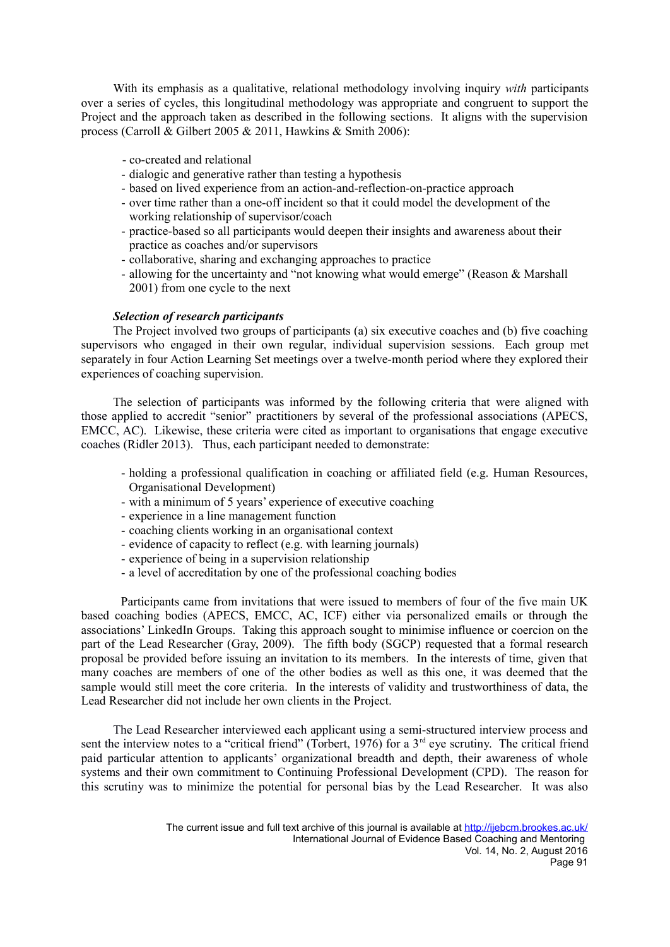With its emphasis as a qualitative, relational methodology involving inquiry *with* participants over a series of cycles, this longitudinal methodology was appropriate and congruent to support the Project and the approach taken as described in the following sections. It aligns with the supervision process (Carroll & Gilbert 2005 & 2011, Hawkins & Smith 2006):

- co-created and relational
- dialogic and generative rather than testing a hypothesis
- based on lived experience from an action-and-reflection-on-practice approach
- over time rather than a one-off incident so that it could model the development of the working relationship of supervisor/coach
- practice-based so all participants would deepen their insights and awareness about their practice as coaches and/or supervisors
- collaborative, sharing and exchanging approaches to practice
- allowing for the uncertainty and "not knowing what would emerge" (Reason & Marshall 2001) from one cycle to the next

#### *Selection of research participants*

The Project involved two groups of participants (a) six executive coaches and (b) five coaching supervisors who engaged in their own regular, individual supervision sessions. Each group met separately in four Action Learning Set meetings over a twelve-month period where they explored their experiences of coaching supervision.

The selection of participants was informed by the following criteria that were aligned with those applied to accredit "senior" practitioners by several of the professional associations (APECS, EMCC, AC). Likewise, these criteria were cited as important to organisations that engage executive coaches (Ridler 2013). Thus, each participant needed to demonstrate:

- holding a professional qualification in coaching or affiliated field (e.g. Human Resources, Organisational Development)
- with a minimum of 5 years' experience of executive coaching
- experience in a line management function
- coaching clients working in an organisational context
- evidence of capacity to reflect (e.g. with learning journals)
- experience of being in a supervision relationship
- a level of accreditation by one of the professional coaching bodies

 Participants came from invitations that were issued to members of four of the five main UK based coaching bodies (APECS, EMCC, AC, ICF) either via personalized emails or through the associations' LinkedIn Groups. Taking this approach sought to minimise influence or coercion on the part of the Lead Researcher (Gray, 2009). The fifth body (SGCP) requested that a formal research proposal be provided before issuing an invitation to its members. In the interests of time, given that many coaches are members of one of the other bodies as well as this one, it was deemed that the sample would still meet the core criteria. In the interests of validity and trustworthiness of data, the Lead Researcher did not include her own clients in the Project.

The Lead Researcher interviewed each applicant using a semi-structured interview process and sent the interview notes to a "critical friend" (Torbert, 1976) for a 3<sup>rd</sup> eye scrutiny. The critical friend paid particular attention to applicants' organizational breadth and depth, their awareness of whole systems and their own commitment to Continuing Professional Development (CPD). The reason for this scrutiny was to minimize the potential for personal bias by the Lead Researcher. It was also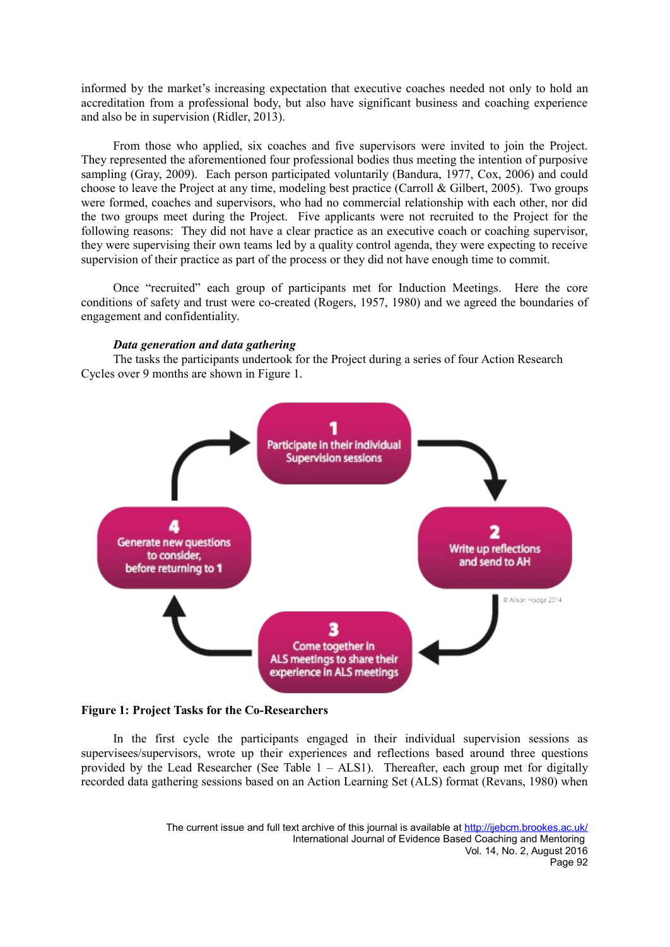informed by the market's increasing expectation that executive coaches needed not only to hold an accreditation from a professional body, but also have significant business and coaching experience and also be in supervision (Ridler, 2013).

From those who applied, six coaches and five supervisors were invited to join the Project. They represented the aforementioned four professional bodies thus meeting the intention of purposive sampling (Gray, 2009). Each person participated voluntarily (Bandura, 1977, Cox, 2006) and could choose to leave the Project at any time, modeling best practice (Carroll & Gilbert, 2005). Two groups were formed, coaches and supervisors, who had no commercial relationship with each other, nor did the two groups meet during the Project. Five applicants were not recruited to the Project for the following reasons: They did not have a clear practice as an executive coach or coaching supervisor, they were supervising their own teams led by a quality control agenda, they were expecting to receive supervision of their practice as part of the process or they did not have enough time to commit.

Once "recruited" each group of participants met for Induction Meetings. Here the core conditions of safety and trust were co-created (Rogers, 1957, 1980) and we agreed the boundaries of engagement and confidentiality.

#### *Data generation and data gathering*

The tasks the participants undertook for the Project during a series of four Action Research Cycles over 9 months are shown in Figure 1.



#### **Figure 1: Project Tasks for the Co-Researchers**

In the first cycle the participants engaged in their individual supervision sessions as supervisees/supervisors, wrote up their experiences and reflections based around three questions provided by the Lead Researcher (See Table  $1 - \text{ALS1}$ ). Thereafter, each group met for digitally recorded data gathering sessions based on an Action Learning Set (ALS) format (Revans, 1980) when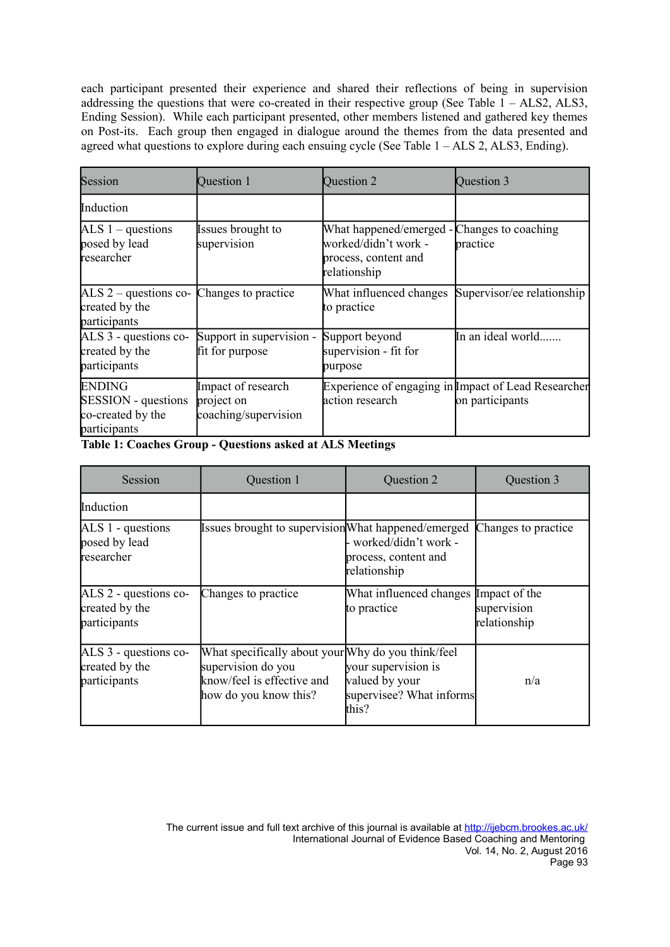each participant presented their experience and shared their reflections of being in supervision addressing the questions that were co-created in their respective group (See Table  $1 - \text{ALS2}$ , ALS3, Ending Session). While each participant presented, other members listened and gathered key themes on Post-its. Each group then engaged in dialogue around the themes from the data presented and agreed what questions to explore during each ensuing cycle (See Table  $1 - ALS2$ , ALS3, Ending).

| Session                                                                          | Question 1                                               | Question 2                                                                                                  | Question 3                                                             |
|----------------------------------------------------------------------------------|----------------------------------------------------------|-------------------------------------------------------------------------------------------------------------|------------------------------------------------------------------------|
| Induction                                                                        |                                                          |                                                                                                             |                                                                        |
| ALS $1$ – questions<br>posed by lead<br>researcher                               | Issues brought to<br>supervision                         | What happened/emerged - Changes to coaching<br>worked/didn't work -<br>process, content and<br>relationship | practice                                                               |
| $ALS 2 - questions$<br>created by the<br>participants                            | Changes to practice                                      | What influenced changes<br>to practice                                                                      | Supervisor/ee relationship                                             |
| ALS 3 - questions co-<br>created by the<br>participants                          | Support in supervision -<br>fit for purpose              | Support beyond<br>supervision - fit for<br>purpose                                                          | In an ideal world                                                      |
| <b>ENDING</b><br><b>SESSION</b> - questions<br>co-created by the<br>participants | Impact of research<br>project on<br>coaching/supervision | action research                                                                                             | Experience of engaging in Impact of Lead Researcher<br>on participants |

**Table 1: Coaches Group - Questions asked at ALS Meetings**

| Session                                                 | Question 1                                                                                                                      | Question 2                                                                 | Question 3                  |
|---------------------------------------------------------|---------------------------------------------------------------------------------------------------------------------------------|----------------------------------------------------------------------------|-----------------------------|
| Induction                                               |                                                                                                                                 |                                                                            |                             |
| $ALS 1 - questions$<br>posed by lead<br>researcher      | Issues brought to supervision What happened/emerged                                                                             | - worked/didn't work +<br>process, content and<br>relationship             | Changes to practice         |
| ALS 2 - questions co-<br>created by the<br>participants | Changes to practice                                                                                                             | What influenced changes Impact of the<br>to practice                       | supervision<br>relationship |
| ALS 3 - questions co-<br>created by the<br>participants | What specifically about your Why do you think/feel<br>supervision do you<br>know/feel is effective and<br>how do you know this? | your supervision is<br>valued by your<br>supervisee? What informs<br>this? | n/a                         |

The current issue and full text archive of this journal is available at<http://ijebcm.brookes.ac.uk/> International Journal of Evidence Based Coaching and Mentoring Vol. 14, No. 2, August 2016 Page 93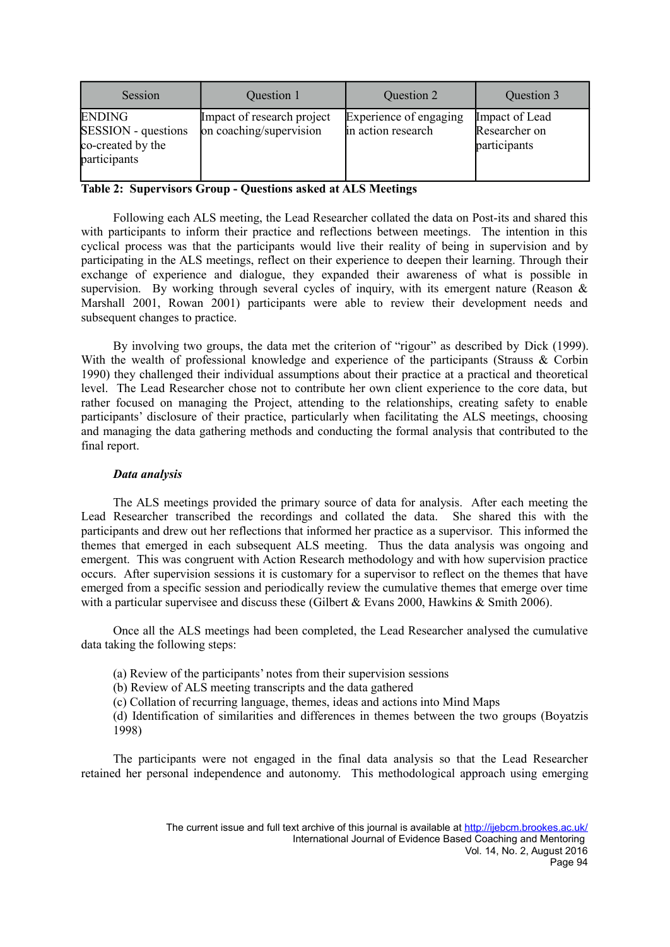| Session                                                                          | Question 1                                            | Question 2                                   | Question 3                                      |
|----------------------------------------------------------------------------------|-------------------------------------------------------|----------------------------------------------|-------------------------------------------------|
| <b>ENDING</b><br><b>SESSION</b> - questions<br>co-created by the<br>participants | Impact of research project<br>on coaching/supervision | Experience of engaging<br>in action research | Impact of Lead<br>Researcher on<br>participants |

# **Table 2: Supervisors Group - Questions asked at ALS Meetings**

Following each ALS meeting, the Lead Researcher collated the data on Post-its and shared this with participants to inform their practice and reflections between meetings. The intention in this cyclical process was that the participants would live their reality of being in supervision and by participating in the ALS meetings, reflect on their experience to deepen their learning. Through their exchange of experience and dialogue, they expanded their awareness of what is possible in supervision. By working through several cycles of inquiry, with its emergent nature (Reason  $\&$ Marshall 2001, Rowan 2001) participants were able to review their development needs and subsequent changes to practice.

By involving two groups, the data met the criterion of "rigour" as described by Dick (1999). With the wealth of professional knowledge and experience of the participants (Strauss & Corbin 1990) they challenged their individual assumptions about their practice at a practical and theoretical level. The Lead Researcher chose not to contribute her own client experience to the core data, but rather focused on managing the Project, attending to the relationships, creating safety to enable participants' disclosure of their practice, particularly when facilitating the ALS meetings, choosing and managing the data gathering methods and conducting the formal analysis that contributed to the final report.

#### *Data analysis*

The ALS meetings provided the primary source of data for analysis. After each meeting the Lead Researcher transcribed the recordings and collated the data. She shared this with the participants and drew out her reflections that informed her practice as a supervisor. This informed the themes that emerged in each subsequent ALS meeting. Thus the data analysis was ongoing and emergent. This was congruent with Action Research methodology and with how supervision practice occurs. After supervision sessions it is customary for a supervisor to reflect on the themes that have emerged from a specific session and periodically review the cumulative themes that emerge over time with a particular supervisee and discuss these (Gilbert  $& Evans\ 2000$ , Hawkins  $& Smith\ 2006$ ).

Once all the ALS meetings had been completed, the Lead Researcher analysed the cumulative data taking the following steps:

(a) Review of the participants' notes from their supervision sessions

(b) Review of ALS meeting transcripts and the data gathered

(c) Collation of recurring language, themes, ideas and actions into Mind Maps

(d) Identification of similarities and differences in themes between the two groups (Boyatzis 1998)

The participants were not engaged in the final data analysis so that the Lead Researcher retained her personal independence and autonomy. This methodological approach using emerging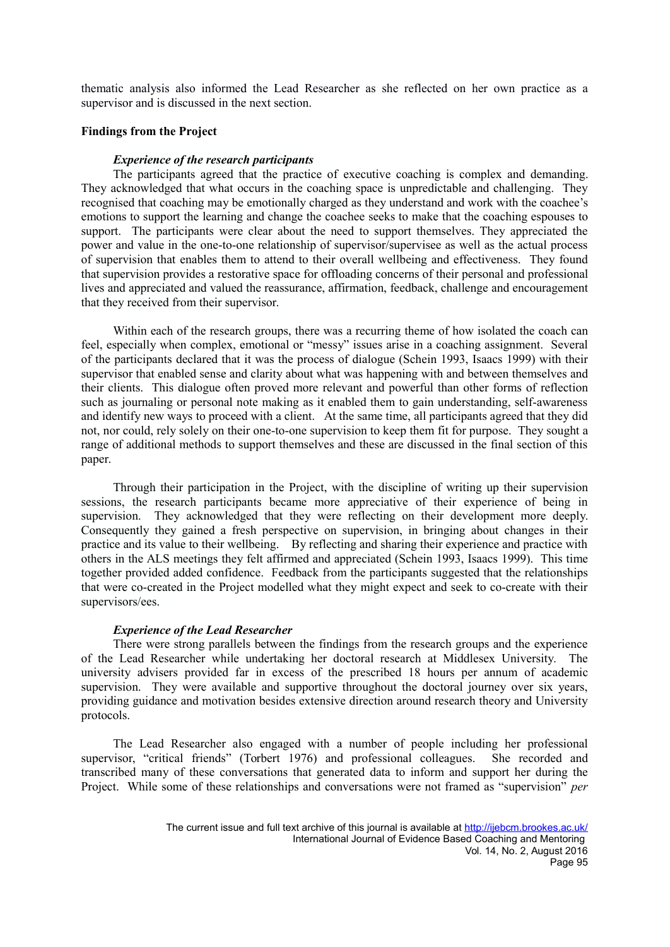thematic analysis also informed the Lead Researcher as she reflected on her own practice as a supervisor and is discussed in the next section.

#### **Findings from the Project**

#### *Experience of the research participants*

The participants agreed that the practice of executive coaching is complex and demanding. They acknowledged that what occurs in the coaching space is unpredictable and challenging. They recognised that coaching may be emotionally charged as they understand and work with the coachee's emotions to support the learning and change the coachee seeks to make that the coaching espouses to support. The participants were clear about the need to support themselves. They appreciated the power and value in the one-to-one relationship of supervisor/supervisee as well as the actual process of supervision that enables them to attend to their overall wellbeing and effectiveness. They found that supervision provides a restorative space for offloading concerns of their personal and professional lives and appreciated and valued the reassurance, affirmation, feedback, challenge and encouragement that they received from their supervisor.

Within each of the research groups, there was a recurring theme of how isolated the coach can feel, especially when complex, emotional or "messy" issues arise in a coaching assignment. Several of the participants declared that it was the process of dialogue (Schein 1993, Isaacs 1999) with their supervisor that enabled sense and clarity about what was happening with and between themselves and their clients. This dialogue often proved more relevant and powerful than other forms of reflection such as journaling or personal note making as it enabled them to gain understanding, self-awareness and identify new ways to proceed with a client. At the same time, all participants agreed that they did not, nor could, rely solely on their one-to-one supervision to keep them fit for purpose. They sought a range of additional methods to support themselves and these are discussed in the final section of this paper.

Through their participation in the Project, with the discipline of writing up their supervision sessions, the research participants became more appreciative of their experience of being in supervision. They acknowledged that they were reflecting on their development more deeply. Consequently they gained a fresh perspective on supervision, in bringing about changes in their practice and its value to their wellbeing. By reflecting and sharing their experience and practice with others in the ALS meetings they felt affirmed and appreciated (Schein 1993, Isaacs 1999). This time together provided added confidence. Feedback from the participants suggested that the relationships that were co-created in the Project modelled what they might expect and seek to co-create with their supervisors/ees.

#### *Experience of the Lead Researcher*

There were strong parallels between the findings from the research groups and the experience of the Lead Researcher while undertaking her doctoral research at Middlesex University. The university advisers provided far in excess of the prescribed 18 hours per annum of academic supervision. They were available and supportive throughout the doctoral journey over six years, providing guidance and motivation besides extensive direction around research theory and University protocols.

The Lead Researcher also engaged with a number of people including her professional supervisor, "critical friends" (Torbert 1976) and professional colleagues. She recorded and transcribed many of these conversations that generated data to inform and support her during the Project. While some of these relationships and conversations were not framed as "supervision" *per*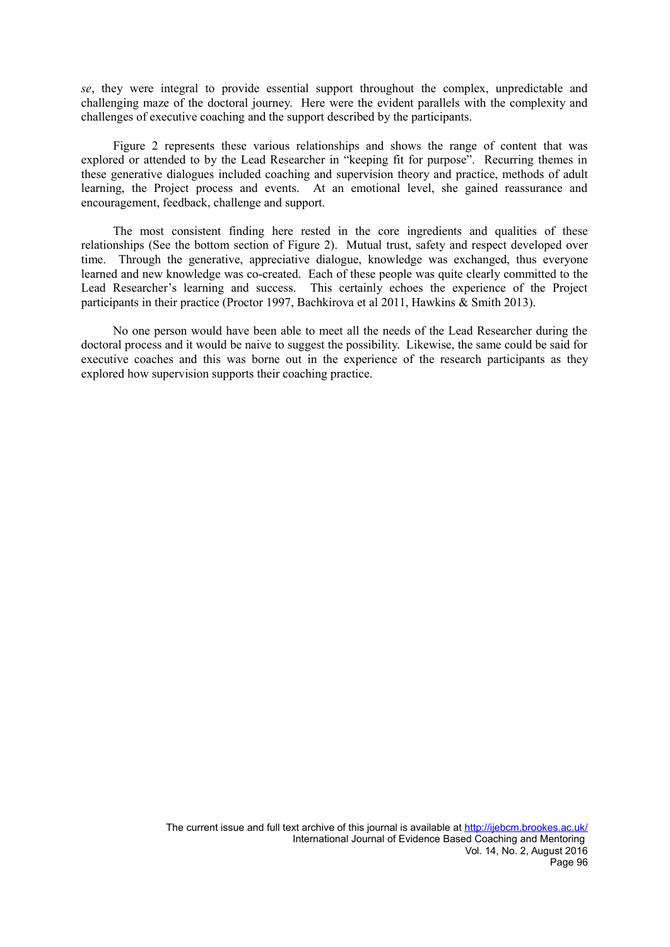*se*, they were integral to provide essential support throughout the complex, unpredictable and challenging maze of the doctoral journey. Here were the evident parallels with the complexity and challenges of executive coaching and the support described by the participants.

Figure 2 represents these various relationships and shows the range of content that was explored or attended to by the Lead Researcher in "keeping fit for purpose". Recurring themes in these generative dialogues included coaching and supervision theory and practice, methods of adult learning, the Project process and events. At an emotional level, she gained reassurance and encouragement, feedback, challenge and support.

The most consistent finding here rested in the core ingredients and qualities of these relationships (See the bottom section of Figure 2). Mutual trust, safety and respect developed over time. Through the generative, appreciative dialogue, knowledge was exchanged, thus everyone learned and new knowledge was co-created. Each of these people was quite clearly committed to the Lead Researcher's learning and success. This certainly echoes the experience of the Project participants in their practice (Proctor 1997, Bachkirova et al 2011, Hawkins & Smith 2013).

No one person would have been able to meet all the needs of the Lead Researcher during the doctoral process and it would be naive to suggest the possibility. Likewise, the same could be said for executive coaches and this was borne out in the experience of the research participants as they explored how supervision supports their coaching practice.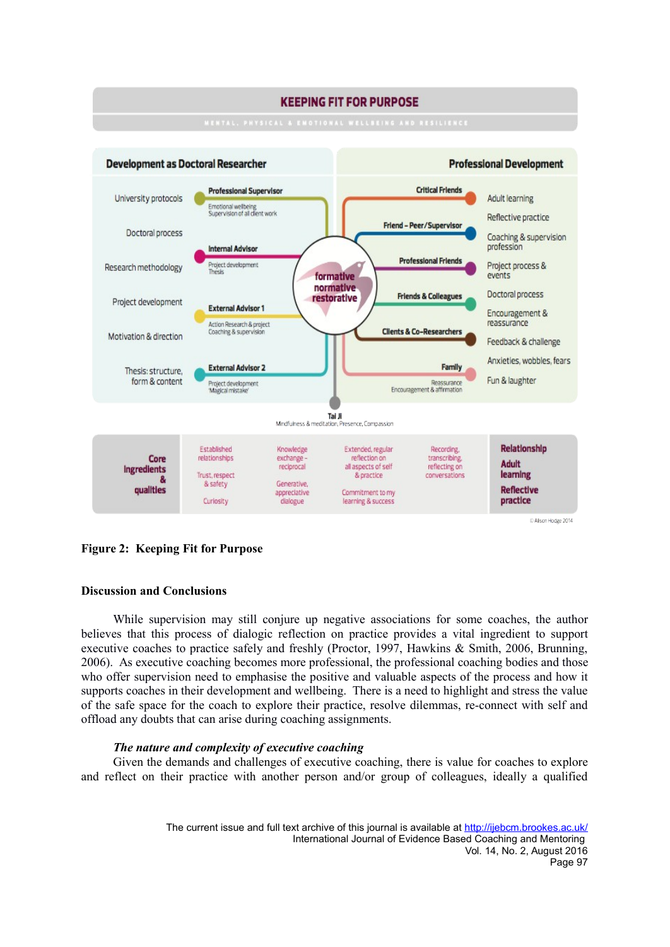

**Figure 2: Keeping Fit for Purpose**

# **Discussion and Conclusions**

While supervision may still conjure up negative associations for some coaches, the author believes that this process of dialogic reflection on practice provides a vital ingredient to support executive coaches to practice safely and freshly (Proctor, 1997, Hawkins & Smith, 2006, Brunning, 2006). As executive coaching becomes more professional, the professional coaching bodies and those who offer supervision need to emphasise the positive and valuable aspects of the process and how it supports coaches in their development and wellbeing. There is a need to highlight and stress the value of the safe space for the coach to explore their practice, resolve dilemmas, re-connect with self and offload any doubts that can arise during coaching assignments.

# *The nature and complexity of executive coaching*

Given the demands and challenges of executive coaching, there is value for coaches to explore and reflect on their practice with another person and/or group of colleagues, ideally a qualified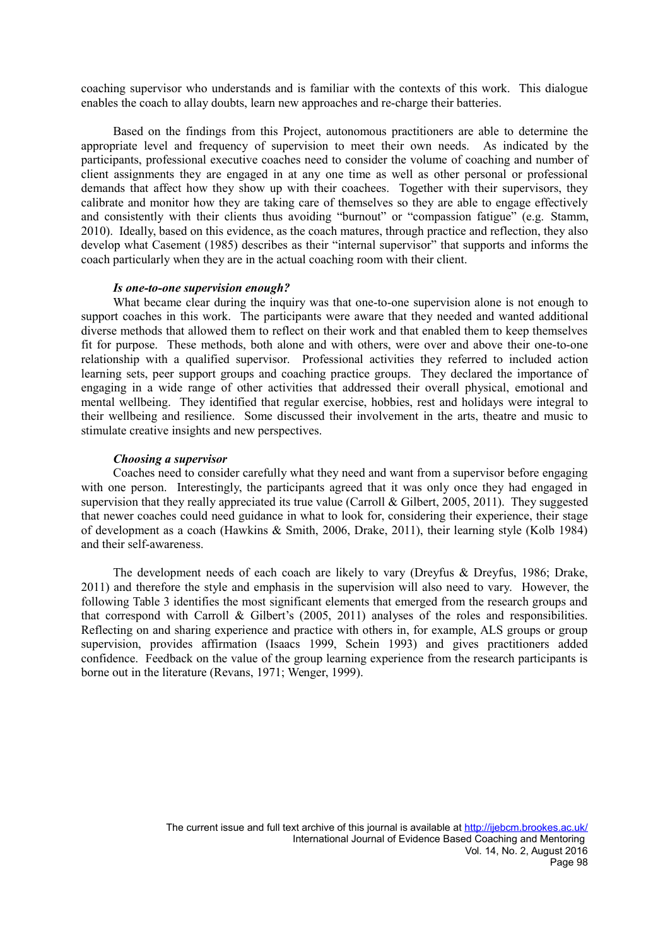coaching supervisor who understands and is familiar with the contexts of this work. This dialogue enables the coach to allay doubts, learn new approaches and re-charge their batteries.

Based on the findings from this Project, autonomous practitioners are able to determine the appropriate level and frequency of supervision to meet their own needs. As indicated by the participants, professional executive coaches need to consider the volume of coaching and number of client assignments they are engaged in at any one time as well as other personal or professional demands that affect how they show up with their coachees. Together with their supervisors, they calibrate and monitor how they are taking care of themselves so they are able to engage effectively and consistently with their clients thus avoiding "burnout" or "compassion fatigue" (e.g. Stamm, 2010). Ideally, based on this evidence, as the coach matures, through practice and reflection, they also develop what Casement (1985) describes as their "internal supervisor" that supports and informs the coach particularly when they are in the actual coaching room with their client.

#### *Is one-to-one supervision enough?*

What became clear during the inquiry was that one-to-one supervision alone is not enough to support coaches in this work. The participants were aware that they needed and wanted additional diverse methods that allowed them to reflect on their work and that enabled them to keep themselves fit for purpose. These methods, both alone and with others, were over and above their one-to-one relationship with a qualified supervisor. Professional activities they referred to included action learning sets, peer support groups and coaching practice groups. They declared the importance of engaging in a wide range of other activities that addressed their overall physical, emotional and mental wellbeing. They identified that regular exercise, hobbies, rest and holidays were integral to their wellbeing and resilience. Some discussed their involvement in the arts, theatre and music to stimulate creative insights and new perspectives.

#### *Choosing a supervisor*

Coaches need to consider carefully what they need and want from a supervisor before engaging with one person. Interestingly, the participants agreed that it was only once they had engaged in supervision that they really appreciated its true value (Carroll & Gilbert, 2005, 2011). They suggested that newer coaches could need guidance in what to look for, considering their experience, their stage of development as a coach (Hawkins & Smith, 2006, Drake, 2011), their learning style (Kolb 1984) and their self-awareness.

The development needs of each coach are likely to vary (Dreyfus & Dreyfus, 1986; Drake, 2011) and therefore the style and emphasis in the supervision will also need to vary. However, the following Table 3 identifies the most significant elements that emerged from the research groups and that correspond with Carroll & Gilbert's (2005, 2011) analyses of the roles and responsibilities. Reflecting on and sharing experience and practice with others in, for example, ALS groups or group supervision, provides affirmation (Isaacs 1999, Schein 1993) and gives practitioners added confidence. Feedback on the value of the group learning experience from the research participants is borne out in the literature (Revans, 1971; Wenger, 1999).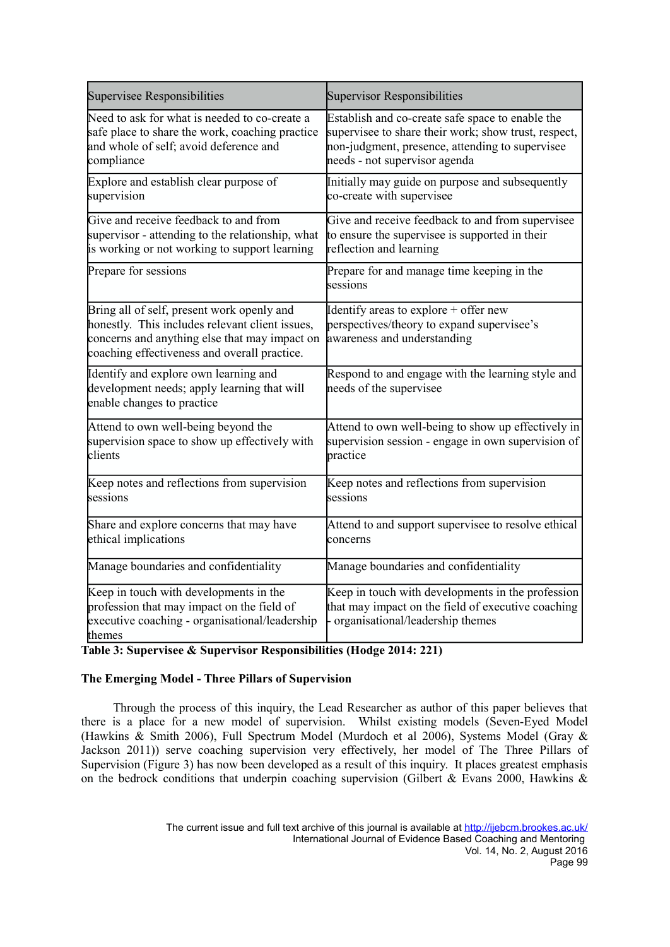| Supervisee Responsibilities                                                                                                                                                                    | Supervisor Responsibilities                                                                                                                 |  |
|------------------------------------------------------------------------------------------------------------------------------------------------------------------------------------------------|---------------------------------------------------------------------------------------------------------------------------------------------|--|
| Need to ask for what is needed to co-create a                                                                                                                                                  | Establish and co-create safe space to enable the                                                                                            |  |
| safe place to share the work, coaching practice                                                                                                                                                | supervisee to share their work; show trust, respect,                                                                                        |  |
| and whole of self; avoid deference and                                                                                                                                                         | non-judgment, presence, attending to supervisee                                                                                             |  |
| compliance                                                                                                                                                                                     | needs - not supervisor agenda                                                                                                               |  |
| Explore and establish clear purpose of                                                                                                                                                         | Initially may guide on purpose and subsequently                                                                                             |  |
| supervision                                                                                                                                                                                    | co-create with supervisee                                                                                                                   |  |
| Give and receive feedback to and from                                                                                                                                                          | Give and receive feedback to and from supervisee                                                                                            |  |
| supervisor - attending to the relationship, what                                                                                                                                               | to ensure the supervisee is supported in their                                                                                              |  |
| is working or not working to support learning                                                                                                                                                  | reflection and learning                                                                                                                     |  |
| Prepare for sessions                                                                                                                                                                           | Prepare for and manage time keeping in the<br>sessions                                                                                      |  |
| Bring all of self, present work openly and<br>honestly. This includes relevant client issues,<br>concerns and anything else that may impact on<br>coaching effectiveness and overall practice. | Identify areas to explore + offer new<br>perspectives/theory to expand supervisee's<br>awareness and understanding                          |  |
| Identify and explore own learning and<br>development needs; apply learning that will<br>enable changes to practice                                                                             | Respond to and engage with the learning style and<br>needs of the supervisee                                                                |  |
| Attend to own well-being beyond the                                                                                                                                                            | Attend to own well-being to show up effectively in                                                                                          |  |
| supervision space to show up effectively with                                                                                                                                                  | supervision session - engage in own supervision of                                                                                          |  |
| clients                                                                                                                                                                                        | practice                                                                                                                                    |  |
| Keep notes and reflections from supervision                                                                                                                                                    | Keep notes and reflections from supervision                                                                                                 |  |
| sessions                                                                                                                                                                                       | sessions                                                                                                                                    |  |
| Share and explore concerns that may have                                                                                                                                                       | Attend to and support supervisee to resolve ethical                                                                                         |  |
| ethical implications                                                                                                                                                                           | concerns                                                                                                                                    |  |
| Manage boundaries and confidentiality                                                                                                                                                          | Manage boundaries and confidentiality                                                                                                       |  |
| Keep in touch with developments in the<br>profession that may impact on the field of<br>executive coaching - organisational/leadership<br>themes                                               | Keep in touch with developments in the profession<br>that may impact on the field of executive coaching<br>organisational/leadership themes |  |

**Table 3: Supervisee & Supervisor Responsibilities (Hodge 2014: 221)**

# **The Emerging Model - Three Pillars of Supervision**

Through the process of this inquiry, the Lead Researcher as author of this paper believes that there is a place for a new model of supervision. Whilst existing models (Seven-Eyed Model (Hawkins & Smith 2006), Full Spectrum Model (Murdoch et al 2006), Systems Model (Gray & Jackson 2011)) serve coaching supervision very effectively, her model of The Three Pillars of Supervision (Figure 3) has now been developed as a result of this inquiry. It places greatest emphasis on the bedrock conditions that underpin coaching supervision (Gilbert & Evans 2000, Hawkins &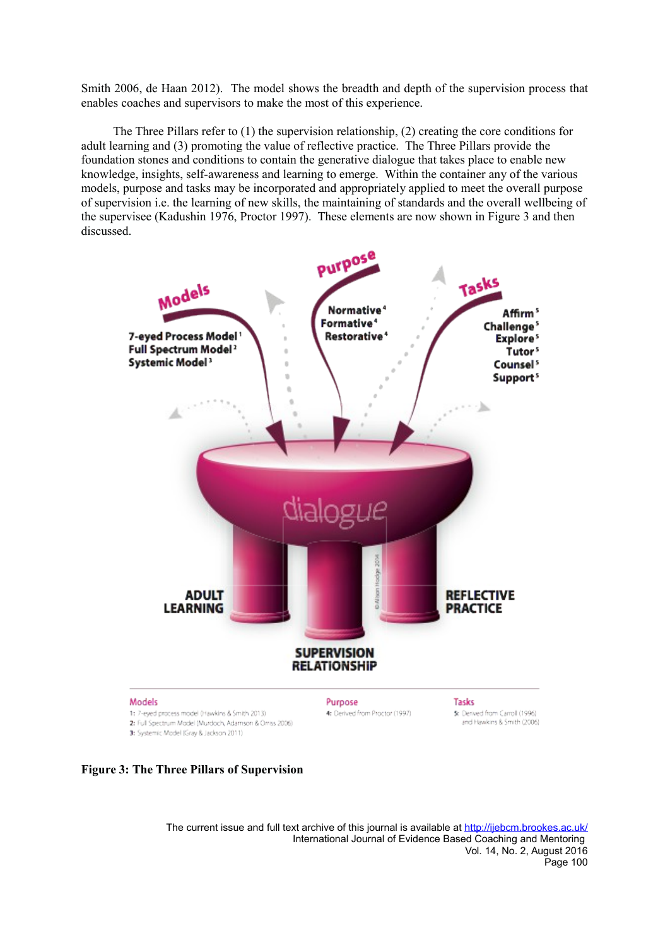Smith 2006, de Haan 2012). The model shows the breadth and depth of the supervision process that enables coaches and supervisors to make the most of this experience.

The Three Pillars refer to (1) the supervision relationship, (2) creating the core conditions for adult learning and (3) promoting the value of reflective practice. The Three Pillars provide the foundation stones and conditions to contain the generative dialogue that takes place to enable new knowledge, insights, self-awareness and learning to emerge. Within the container any of the various models, purpose and tasks may be incorporated and appropriately applied to meet the overall purpose of supervision i.e. the learning of new skills, the maintaining of standards and the overall wellbeing of the supervisee (Kadushin 1976, Proctor 1997). These elements are now shown in Figure 3 and then discussed.





The current issue and full text archive of this journal is available at<http://ijebcm.brookes.ac.uk/> International Journal of Evidence Based Coaching and Mentoring Vol. 14, No. 2, August 2016 Page 100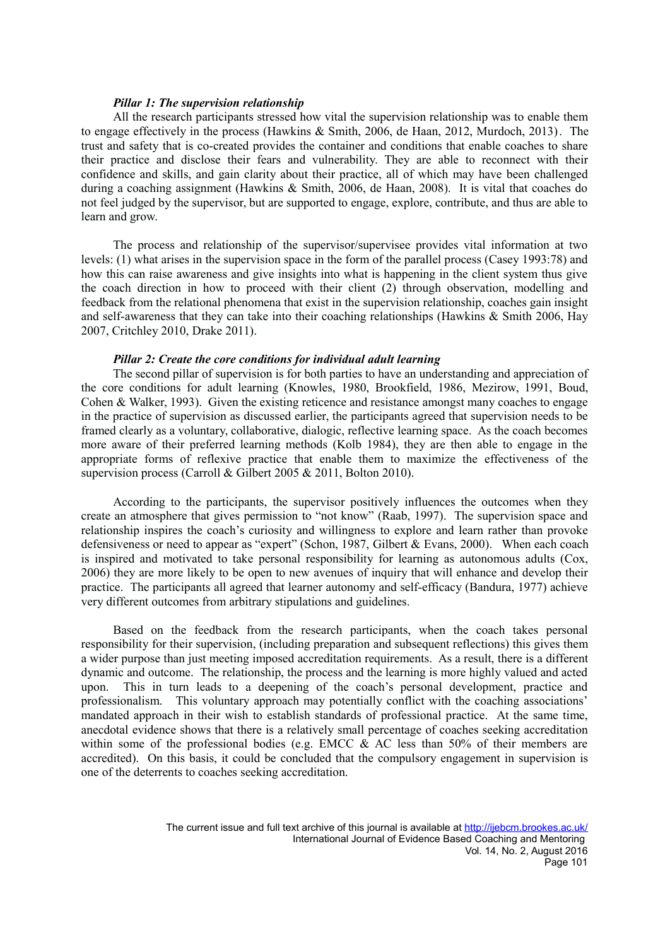#### *Pillar 1: The supervision relationship*

All the research participants stressed how vital the supervision relationship was to enable them to engage effectively in the process (Hawkins & Smith, 2006, de Haan, 2012, Murdoch, 2013). The trust and safety that is co-created provides the container and conditions that enable coaches to share their practice and disclose their fears and vulnerability. They are able to reconnect with their confidence and skills, and gain clarity about their practice, all of which may have been challenged during a coaching assignment (Hawkins & Smith, 2006, de Haan, 2008). It is vital that coaches do not feel judged by the supervisor, but are supported to engage, explore, contribute, and thus are able to learn and grow.

The process and relationship of the supervisor/supervisee provides vital information at two levels: (1) what arises in the supervision space in the form of the parallel process (Casey 1993:78) and how this can raise awareness and give insights into what is happening in the client system thus give the coach direction in how to proceed with their client (2) through observation, modelling and feedback from the relational phenomena that exist in the supervision relationship, coaches gain insight and self-awareness that they can take into their coaching relationships (Hawkins  $\&$  Smith 2006, Hay 2007, Critchley 2010, Drake 2011).

#### *Pillar 2: Create the core conditions for individual adult learning*

The second pillar of supervision is for both parties to have an understanding and appreciation of the core conditions for adult learning (Knowles, 1980, Brookfield, 1986, Mezirow, 1991, Boud, Cohen & Walker, 1993). Given the existing reticence and resistance amongst many coaches to engage in the practice of supervision as discussed earlier, the participants agreed that supervision needs to be framed clearly as a voluntary, collaborative, dialogic, reflective learning space. As the coach becomes more aware of their preferred learning methods (Kolb 1984), they are then able to engage in the appropriate forms of reflexive practice that enable them to maximize the effectiveness of the supervision process (Carroll & Gilbert 2005 & 2011, Bolton 2010).

According to the participants, the supervisor positively influences the outcomes when they create an atmosphere that gives permission to "not know" (Raab, 1997). The supervision space and relationship inspires the coach's curiosity and willingness to explore and learn rather than provoke defensiveness or need to appear as "expert" (Schon, 1987, Gilbert & Evans, 2000). When each coach is inspired and motivated to take personal responsibility for learning as autonomous adults (Cox, 2006) they are more likely to be open to new avenues of inquiry that will enhance and develop their practice. The participants all agreed that learner autonomy and self-efficacy (Bandura, 1977) achieve very different outcomes from arbitrary stipulations and guidelines.

Based on the feedback from the research participants, when the coach takes personal responsibility for their supervision, (including preparation and subsequent reflections) this gives them a wider purpose than just meeting imposed accreditation requirements. As a result, there is a different dynamic and outcome. The relationship, the process and the learning is more highly valued and acted upon. This in turn leads to a deepening of the coach's personal development, practice and professionalism. This voluntary approach may potentially conflict with the coaching associations' mandated approach in their wish to establish standards of professional practice. At the same time, anecdotal evidence shows that there is a relatively small percentage of coaches seeking accreditation within some of the professional bodies (e.g. EMCC & AC less than 50% of their members are accredited). On this basis, it could be concluded that the compulsory engagement in supervision is one of the deterrents to coaches seeking accreditation.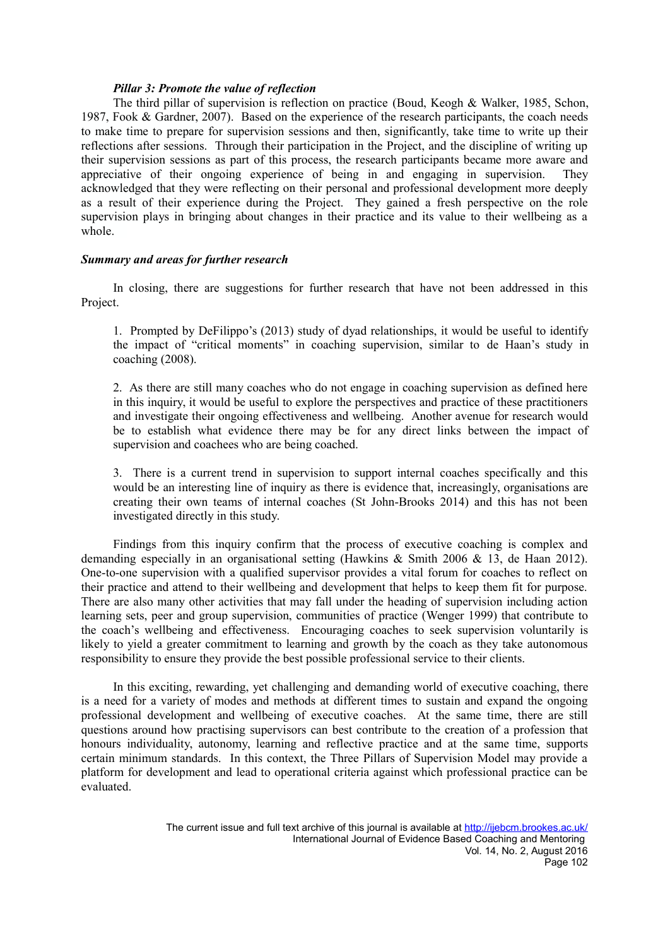#### *Pillar 3: Promote the value of reflection*

The third pillar of supervision is reflection on practice (Boud, Keogh & Walker, 1985, Schon, 1987, Fook & Gardner, 2007). Based on the experience of the research participants, the coach needs to make time to prepare for supervision sessions and then, significantly, take time to write up their reflections after sessions. Through their participation in the Project, and the discipline of writing up their supervision sessions as part of this process, the research participants became more aware and appreciative of their ongoing experience of being in and engaging in supervision. They acknowledged that they were reflecting on their personal and professional development more deeply as a result of their experience during the Project. They gained a fresh perspective on the role supervision plays in bringing about changes in their practice and its value to their wellbeing as a whole.

#### *Summary and areas for further research*

In closing, there are suggestions for further research that have not been addressed in this Project.

1. Prompted by DeFilippo's (2013) study of dyad relationships, it would be useful to identify the impact of "critical moments" in coaching supervision, similar to de Haan's study in coaching (2008).

2. As there are still many coaches who do not engage in coaching supervision as defined here in this inquiry, it would be useful to explore the perspectives and practice of these practitioners and investigate their ongoing effectiveness and wellbeing. Another avenue for research would be to establish what evidence there may be for any direct links between the impact of supervision and coachees who are being coached.

3. There is a current trend in supervision to support internal coaches specifically and this would be an interesting line of inquiry as there is evidence that, increasingly, organisations are creating their own teams of internal coaches (St John-Brooks 2014) and this has not been investigated directly in this study.

Findings from this inquiry confirm that the process of executive coaching is complex and demanding especially in an organisational setting (Hawkins & Smith 2006 & 13, de Haan 2012). One-to-one supervision with a qualified supervisor provides a vital forum for coaches to reflect on their practice and attend to their wellbeing and development that helps to keep them fit for purpose. There are also many other activities that may fall under the heading of supervision including action learning sets, peer and group supervision, communities of practice (Wenger 1999) that contribute to the coach's wellbeing and effectiveness. Encouraging coaches to seek supervision voluntarily is likely to yield a greater commitment to learning and growth by the coach as they take autonomous responsibility to ensure they provide the best possible professional service to their clients.

In this exciting, rewarding, yet challenging and demanding world of executive coaching, there is a need for a variety of modes and methods at different times to sustain and expand the ongoing professional development and wellbeing of executive coaches. At the same time, there are still questions around how practising supervisors can best contribute to the creation of a profession that honours individuality, autonomy, learning and reflective practice and at the same time, supports certain minimum standards. In this context, the Three Pillars of Supervision Model may provide a platform for development and lead to operational criteria against which professional practice can be evaluated.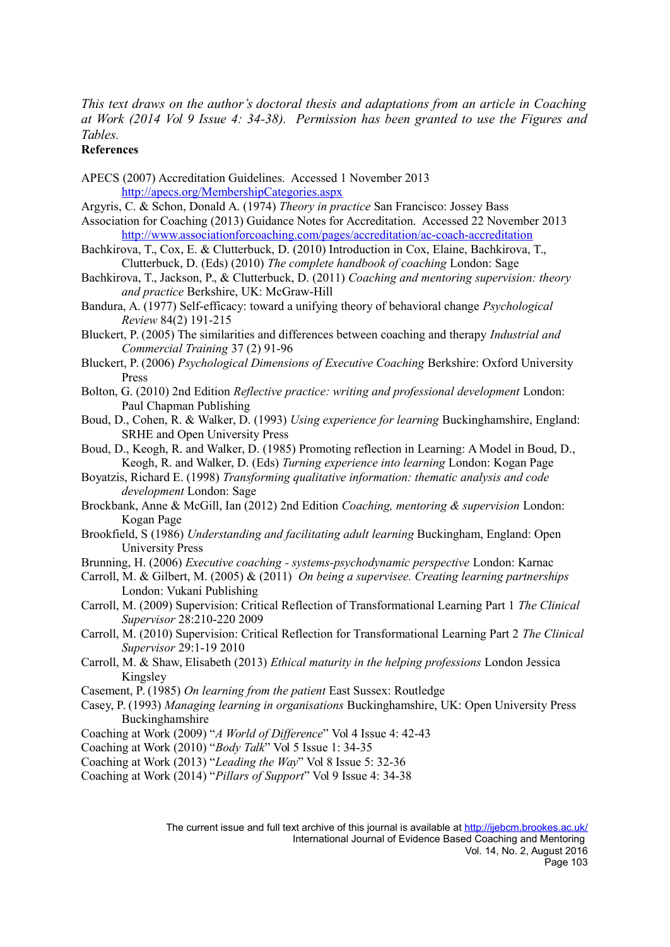*This text draws on the author's doctoral thesis and adaptations from an article in Coaching at Work (2014 Vol 9 Issue 4: 34-38). Permission has been granted to use the Figures and Tables.* 

# **References**

APECS (2007) Accreditation Guidelines. Accessed 1 November 2013 http://apecs.org/MembershipCategories.aspx

- Argyris, C. & Schon, Donald A. (1974) *Theory in practice* San Francisco: Jossey Bass
- Association for Coaching (2013) Guidance Notes for Accreditation. Accessed 22 November 2013 http://www.associationforcoaching.com/pages/accreditation/ac-coach-accreditation
- Bachkirova, T., Cox, E. & Clutterbuck, D. (2010) Introduction in Cox, Elaine, Bachkirova, T., Clutterbuck, D. (Eds) (2010) *The complete handbook of coaching* London: Sage
- Bachkirova, T., Jackson, P., & Clutterbuck, D. (2011) *Coaching and mentoring supervision: theory and practice* Berkshire, UK: McGraw-Hill
- Bandura, A. (1977) Self-efficacy: toward a unifying theory of behavioral change *Psychological Review* 84(2) 191-215
- Bluckert, P. (2005) The similarities and differences between coaching and therapy *Industrial and Commercial Training* 37 (2) 91-96
- Bluckert, P. (2006) *Psychological Dimensions of Executive Coaching* Berkshire: Oxford University Press
- Bolton, G. (2010) 2nd Edition *Reflective practice: writing and professional development* London: Paul Chapman Publishing
- Boud, D., Cohen, R. & Walker, D. (1993) *Using experience for learning* Buckinghamshire, England: SRHE and Open University Press
- Boud, D., Keogh, R. and Walker, D. (1985) Promoting reflection in Learning: A Model in Boud, D., Keogh, R. and Walker, D. (Eds) *Turning experience into learning* London: Kogan Page
- Boyatzis, Richard E. (1998) *Transforming qualitative information: thematic analysis and code development* London: Sage
- Brockbank, Anne & McGill, Ian (2012) 2nd Edition *Coaching, mentoring & supervision* London: Kogan Page
- Brookfield, S (1986) *Understanding and facilitating adult learning* Buckingham, England: Open University Press
- Brunning, H. (2006) *Executive coaching systems-psychodynamic perspective* London: Karnac
- Carroll, M. & Gilbert, M. (2005) & (2011) *On being a supervisee. Creating learning partnerships* London: Vukani Publishing
- Carroll, M. (2009) Supervision: Critical Reflection of Transformational Learning Part 1 *The Clinical Supervisor* 28:210-220 2009
- Carroll, M. (2010) Supervision: Critical Reflection for Transformational Learning Part 2 *The Clinical Supervisor* 29:1-19 2010
- Carroll, M. & Shaw, Elisabeth (2013) *Ethical maturity in the helping professions* London Jessica Kingsley
- Casement, P. (1985) *On learning from the patient* East Sussex: Routledge
- Casey, P. (1993) *Managing learning in organisations* Buckinghamshire, UK: Open University Press Buckinghamshire
- Coaching at Work (2009) "*A World of Difference*" Vol 4 Issue 4: 42-43
- Coaching at Work (2010) "*Body Talk*" Vol 5 Issue 1: 34-35
- Coaching at Work (2013) "*Leading the Way*" Vol 8 Issue 5: 32-36
- Coaching at Work (2014) "*Pillars of Support*" Vol 9 Issue 4: 34-38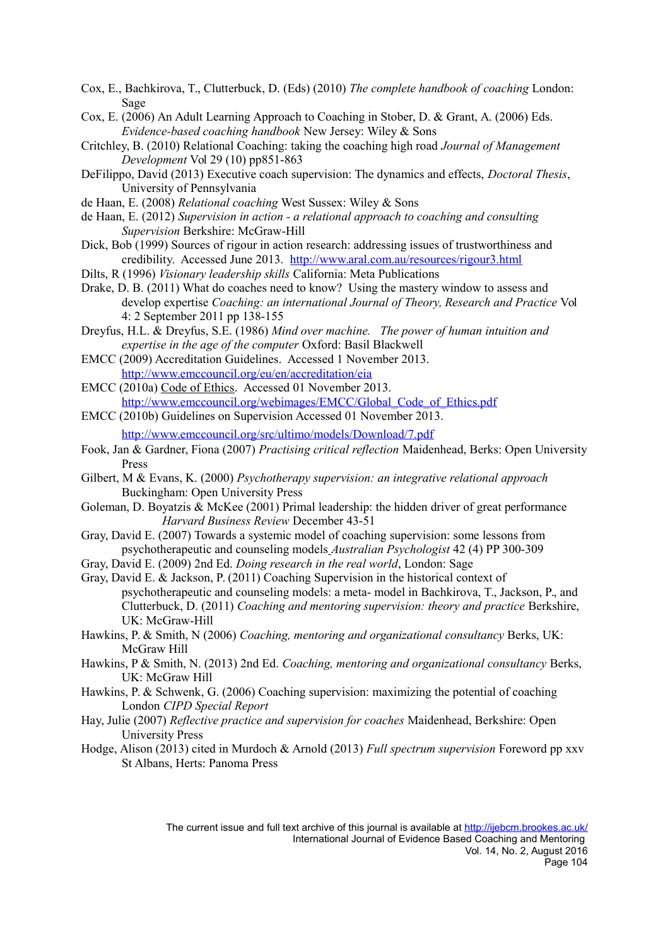- Cox, E., Bachkirova, T., Clutterbuck, D. (Eds) (2010) *The complete handbook of coaching* London: Sage
- Cox, E. (2006) An Adult Learning Approach to Coaching in Stober, D. & Grant, A. (2006) Eds. *Evidence-based coaching handbook* New Jersey: Wiley & Sons
- Critchley, B. (2010) Relational Coaching: taking the coaching high road *Journal of Management Development* Vol 29 (10) pp851-863
- DeFilippo, David (2013) Executive coach supervision: The dynamics and effects, *Doctoral Thesis*, University of Pennsylvania
- de Haan, E. (2008) *Relational coaching* West Sussex: Wiley & Sons
- de Haan, E. (2012) *Supervision in action a relational approach to coaching and consulting Supervision* Berkshire: McGraw-Hill
- Dick, Bob (1999) Sources of rigour in action research: addressing issues of trustworthiness and credibility. Accessed June 2013. http://www.aral.com.au/resources/rigour3.html
- Dilts, R (1996) *Visionary leadership skills* California: Meta Publications
- Drake, D. B. (2011) What do coaches need to know? Using the mastery window to assess and develop expertise *Coaching: an international Journal of Theory, Research and Practice* Vol 4: 2 September 2011 pp 138-155
- Dreyfus, H.L. & Dreyfus, S.E. (1986) *Mind over machine. The power of human intuition and expertise in the age of the computer* Oxford: Basil Blackwell
- EMCC (2009) Accreditation Guidelines. Accessed 1 November 2013. http://www.emccouncil.org/eu/en/accreditation/eia
- EMCC (2010a) Code of Ethics. Accessed 01 November 2013. [http://www.emccouncil.org/webimages/EMCC/Global\\_Code\\_of\\_Ethics.pdf](http://www.emccouncil.org/webimages/EMCC/Global_Code_of_Ethics.pdf)
- EMCC (2010b) Guidelines on Supervision Accessed 01 November 2013. <http://www.emccouncil.org/src/ultimo/models/Download/7.pdf>
- Fook, Jan & Gardner, Fiona (2007) *Practising critical reflection* Maidenhead, Berks: Open University Press
- Gilbert, M & Evans, K. (2000) *Psychotherapy supervision: an integrative relational approach* Buckingham: Open University Press
- Goleman, D. Boyatzis & McKee (2001) Primal leadership: the hidden driver of great performance *Harvard Business Review* December 43-51
- Gray, David E. (2007) Towards a systemic model of coaching supervision: some lessons from psychotherapeutic and counseling models *Australian Psychologist* 42 (4) PP 300-309
- Gray, David E. (2009) 2nd Ed. *Doing research in the real world*, London: Sage
- Gray, David E. & Jackson, P. (2011) Coaching Supervision in the historical context of psychotherapeutic and counseling models: a meta- model in Bachkirova, T., Jackson, P., and Clutterbuck, D. (2011) *Coaching and mentoring supervision: theory and practice* Berkshire, UK: McGraw-Hill
- Hawkins, P. & Smith, N (2006) *Coaching, mentoring and organizational consultancy* Berks, UK: McGraw Hill
- Hawkins, P & Smith, N. (2013) 2nd Ed. *Coaching, mentoring and organizational consultancy* Berks, UK: McGraw Hill
- Hawkins, P. & Schwenk, G. (2006) Coaching supervision: maximizing the potential of coaching London *CIPD Special Report*
- Hay, Julie (2007) *Reflective practice and supervision for coaches* Maidenhead, Berkshire: Open University Press
- Hodge, Alison (2013) cited in Murdoch & Arnold (2013) *Full spectrum supervision* Foreword pp xxv St Albans, Herts: Panoma Press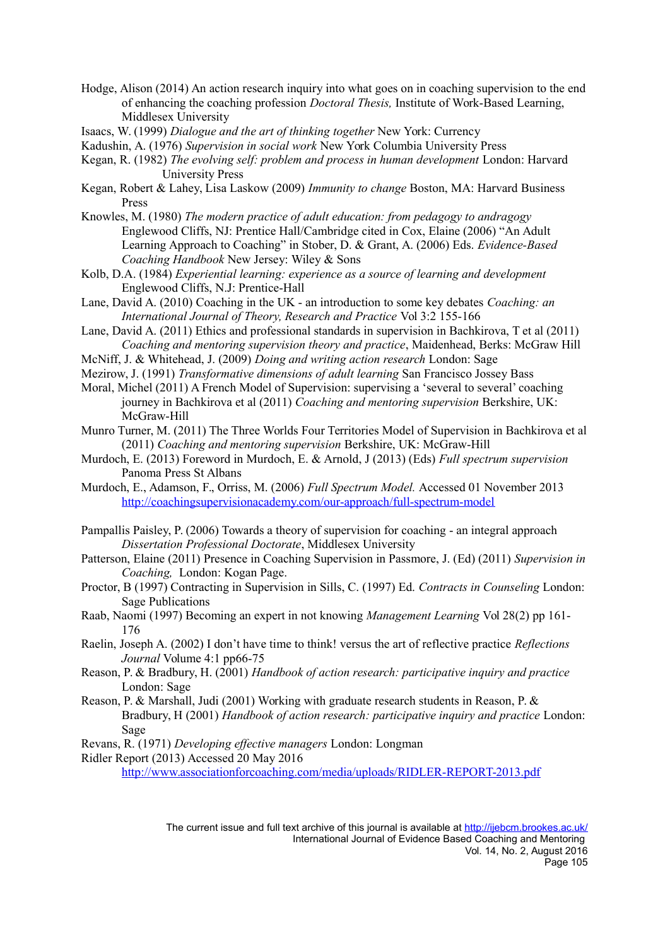- Hodge, Alison (2014) An action research inquiry into what goes on in coaching supervision to the end of enhancing the coaching profession *Doctoral Thesis,* Institute of Work-Based Learning, Middlesex University
- Isaacs, W. (1999) *Dialogue and the art of thinking together* New York: Currency
- Kadushin, A. (1976) *Supervision in social work* New York Columbia University Press
- Kegan, R. (1982) *The evolving self: problem and process in human development* London: Harvard University Press
- Kegan, Robert & Lahey, Lisa Laskow (2009) *Immunity to change* Boston, MA: Harvard Business Press
- Knowles, M. (1980) *The modern practice of adult education: from pedagogy to andragogy* Englewood Cliffs, NJ: Prentice Hall/Cambridge cited in Cox, Elaine (2006) "An Adult Learning Approach to Coaching" in Stober, D. & Grant, A. (2006) Eds. *Evidence-Based Coaching Handbook* New Jersey: Wiley & Sons
- Kolb, D.A. (1984) *Experiential learning: experience as a source of learning and development* Englewood Cliffs, N.J: Prentice-Hall
- Lane, David A. (2010) Coaching in the UK an introduction to some key debates *Coaching: an International Journal of Theory, Research and Practice* Vol 3:2 155-166
- Lane, David A. (2011) Ethics and professional standards in supervision in Bachkirova, T et al (2011) *Coaching and mentoring supervision theory and practice*, Maidenhead, Berks: McGraw Hill
- McNiff, J. & Whitehead, J. (2009) *Doing and writing action research* London: Sage
- Mezirow, J. (1991) *Transformative dimensions of adult learning* San Francisco Jossey Bass
- Moral, Michel (2011) A French Model of Supervision: supervising a 'several to several' coaching journey in Bachkirova et al (2011) *Coaching and mentoring supervision* Berkshire, UK: McGraw-Hill
- Munro Turner, M. (2011) The Three Worlds Four Territories Model of Supervision in Bachkirova et al (2011) *Coaching and mentoring supervision* Berkshire, UK: McGraw-Hill
- Murdoch, E. (2013) Foreword in Murdoch, E. & Arnold, J (2013) (Eds) *Full spectrum supervision* Panoma Press St Albans
- Murdoch, E., Adamson, F., Orriss, M. (2006) *Full Spectrum Model.* Accessed 01 November 2013 <http://coachingsupervisionacademy.com/our-approach/full-spectrum-model>
- Pampallis Paisley, P. (2006) Towards a theory of supervision for coaching an integral approach *Dissertation Professional Doctorate*, Middlesex University
- Patterson, Elaine (2011) Presence in Coaching Supervision in Passmore, J. (Ed) (2011) *Supervision in Coaching,* London: Kogan Page.
- Proctor, B (1997) Contracting in Supervision in Sills, C. (1997) Ed. *Contracts in Counseling* London: Sage Publications
- Raab, Naomi (1997) Becoming an expert in not knowing *Management Learning* Vol 28(2) pp 161- 176
- Raelin, Joseph A. (2002) I don't have time to think! versus the art of reflective practice *Reflections Journal* Volume 4:1 pp66-75
- Reason, P. & Bradbury, H. (2001) *Handbook of action research: participative inquiry and practice* London: Sage
- Reason, P. & Marshall, Judi (2001) Working with graduate research students in Reason, P. & Bradbury, H (2001) *Handbook of action research: participative inquiry and practice* London: Sage
- Revans, R. (1971) *Developing effective managers* London: Longman
- Ridler Report (2013) Accessed 20 May 2016

http://www.associationforcoaching.com/media/uploads/RIDLER-REPORT-2013.pdf